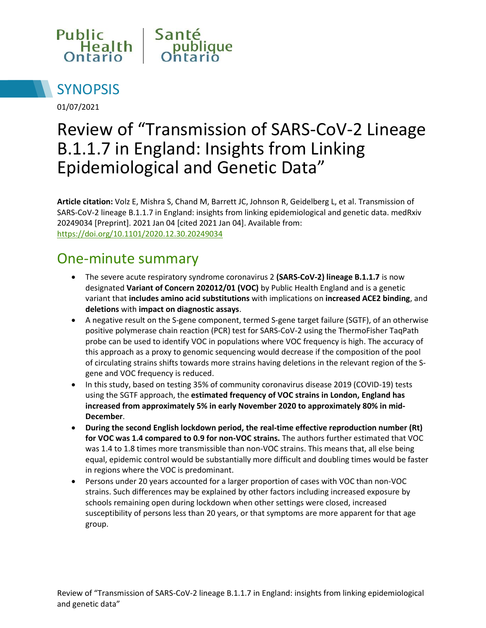



01/07/2021

# Review of "Transmission of SARS-CoV-2 Lineage B.1.1.7 in England: Insights from Linking Epidemiological and Genetic Data"

**Article citation:** Volz E, Mishra S, Chand M, Barrett JC, Johnson R, Geidelberg L, et al. Transmission of SARS-CoV-2 lineage B.1.1.7 in England: insights from linking epidemiological and genetic data. medRxiv 20249034 [Preprint]. 2021 Jan 04 [cited 2021 Jan 04]. Available from: <https://doi.org/10.1101/2020.12.30.20249034>

#### One-minute summary

- The severe acute respiratory syndrome coronavirus 2 **(SARS-CoV-2) lineage B.1.1.7** is now designated **Variant of Concern 202012/01 (VOC)** by Public Health England and is a genetic variant that **includes amino acid substitutions** with implications on **increased ACE2 binding**, and **deletions** with **impact on diagnostic assays**.
- A negative result on the S-gene component, termed S-gene target failure (SGTF), of an otherwise positive polymerase chain reaction (PCR) test for SARS-CoV-2 using the ThermoFisher TaqPath probe can be used to identify VOC in populations where VOC frequency is high. The accuracy of this approach as a proxy to genomic sequencing would decrease if the composition of the pool of circulating strains shifts towards more strains having deletions in the relevant region of the Sgene and VOC frequency is reduced.
- In this study, based on testing 35% of community coronavirus disease 2019 (COVID-19) tests using the SGTF approach, the **estimated frequency of VOC strains in London, England has increased from approximately 5% in early November 2020 to approximately 80% in mid-December**.
- **During the second English lockdown period, the real-time effective reproduction number (Rt) for VOC was 1.4 compared to 0.9 for non-VOC strains.** The authors further estimated that VOC was 1.4 to 1.8 times more transmissible than non-VOC strains. This means that, all else being equal, epidemic control would be substantially more difficult and doubling times would be faster in regions where the VOC is predominant.
- Persons under 20 years accounted for a larger proportion of cases with VOC than non-VOC strains. Such differences may be explained by other factors including increased exposure by schools remaining open during lockdown when other settings were closed, increased susceptibility of persons less than 20 years, or that symptoms are more apparent for that age group.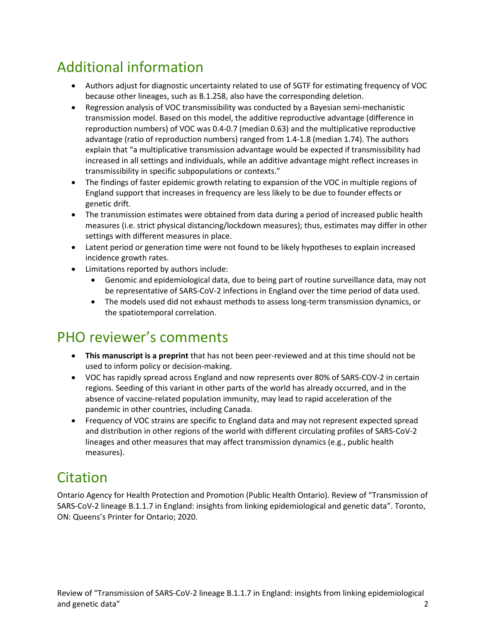## Additional information

- Authors adjust for diagnostic uncertainty related to use of SGTF for estimating frequency of VOC because other lineages, such as B.1.258, also have the corresponding deletion.
- Regression analysis of VOC transmissibility was conducted by a Bayesian semi-mechanistic transmission model. Based on this model, the additive reproductive advantage (difference in reproduction numbers) of VOC was 0.4-0.7 (median 0.63) and the multiplicative reproductive advantage (ratio of reproduction numbers) ranged from 1.4-1.8 (median 1.74). The authors explain that "a multiplicative transmission advantage would be expected if transmissibility had increased in all settings and individuals, while an additive advantage might reflect increases in transmissibility in specific subpopulations or contexts."
- The findings of faster epidemic growth relating to expansion of the VOC in multiple regions of England support that increases in frequency are less likely to be due to founder effects or genetic drift.
- The transmission estimates were obtained from data during a period of increased public health measures (i.e. strict physical distancing/lockdown measures); thus, estimates may differ in other settings with different measures in place.
- Latent period or generation time were not found to be likely hypotheses to explain increased incidence growth rates.
- Limitations reported by authors include:
	- Genomic and epidemiological data, due to being part of routine surveillance data, may not be representative of SARS-CoV-2 infections in England over the time period of data used.
	- The models used did not exhaust methods to assess long-term transmission dynamics, or the spatiotemporal correlation.

### PHO reviewer's comments

- **This manuscript is a preprint** that has not been peer-reviewed and at this time should not be used to inform policy or decision-making.
- VOC has rapidly spread across England and now represents over 80% of SARS-COV-2 in certain regions. Seeding of this variant in other parts of the world has already occurred, and in the absence of vaccine-related population immunity, may lead to rapid acceleration of the pandemic in other countries, including Canada.
- Frequency of VOC strains are specific to England data and may not represent expected spread and distribution in other regions of the world with different circulating profiles of SARS-CoV-2 lineages and other measures that may affect transmission dynamics (e.g., public health measures).

### Citation

Ontario Agency for Health Protection and Promotion (Public Health Ontario). Review of "Transmission of SARS-CoV-2 lineage B.1.1.7 in England: insights from linking epidemiological and genetic data". Toronto, ON: Queens's Printer for Ontario; 2020.